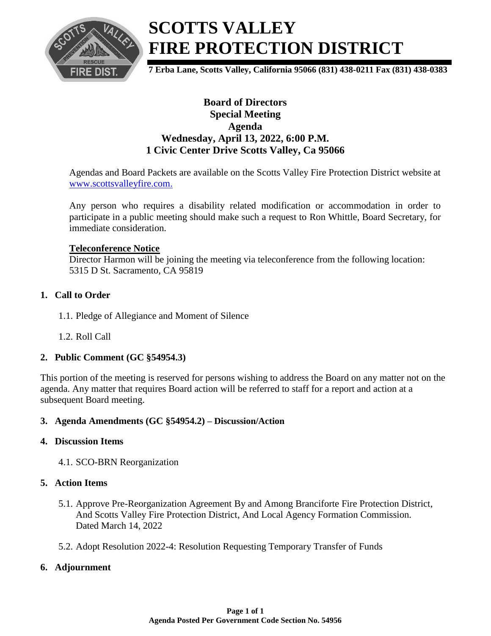

# **SCOTTS VALLEY FIRE PROTECTION DISTRICT**

**7 Erba Lane, Scotts Valley, California 95066 (831) 438-0211 Fax (831) 438-0383**

## **Board of Directors Special Meeting Agenda Wednesday, April 13, 2022, 6:00 P.M. 1 Civic Center Drive Scotts Valley, Ca 95066**

Agendas and Board Packets are available on the Scotts Valley Fire Protection District website at [www.scottsvalleyfire.com.](file://///svfd2/admin/data/AGENDAS/2013/2012/www.scottsvalleyfire.com)

Any person who requires a disability related modification or accommodation in order to participate in a public meeting should make such a request to Ron Whittle, Board Secretary, for immediate consideration.

#### **Teleconference Notice**

Director Harmon will be joining the meeting via teleconference from the following location: 5315 D St. Sacramento, CA 95819

#### **1. Call to Order**

- 1.1. Pledge of Allegiance and Moment of Silence
- 1.2. Roll Call

#### **2. Public Comment (GC §54954.3)**

This portion of the meeting is reserved for persons wishing to address the Board on any matter not on the agenda. Any matter that requires Board action will be referred to staff for a report and action at a subsequent Board meeting.

#### **3. Agenda Amendments (GC §54954.2) – Discussion/Action**

#### **4. Discussion Items**

4.1. SCO-BRN Reorganization

#### **5. Action Items**

- 5.1. Approve Pre-Reorganization Agreement By and Among Branciforte Fire Protection District, And Scotts Valley Fire Protection District, And Local Agency Formation Commission. Dated March 14, 2022
- 5.2. Adopt Resolution 2022-4: Resolution Requesting Temporary Transfer of Funds

#### **6. Adjournment**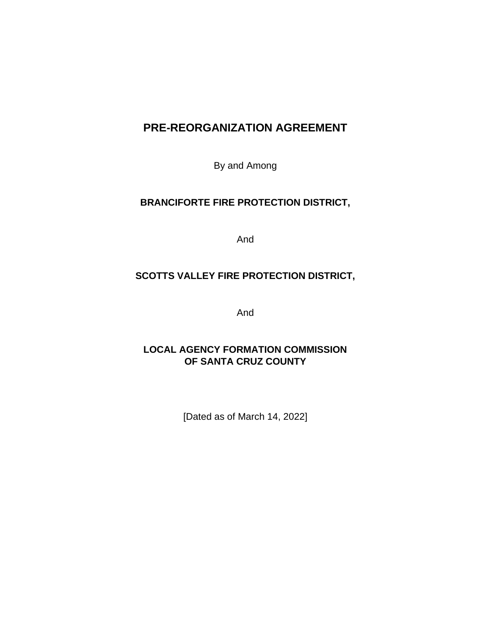# **PRE-REORGANIZATION AGREEMENT**

By and Among

## **BRANCIFORTE FIRE PROTECTION DISTRICT,**

And

## **SCOTTS VALLEY FIRE PROTECTION DISTRICT,**

And

## **LOCAL AGENCY FORMATION COMMISSION OF SANTA CRUZ COUNTY**

[Dated as of March 14, 2022]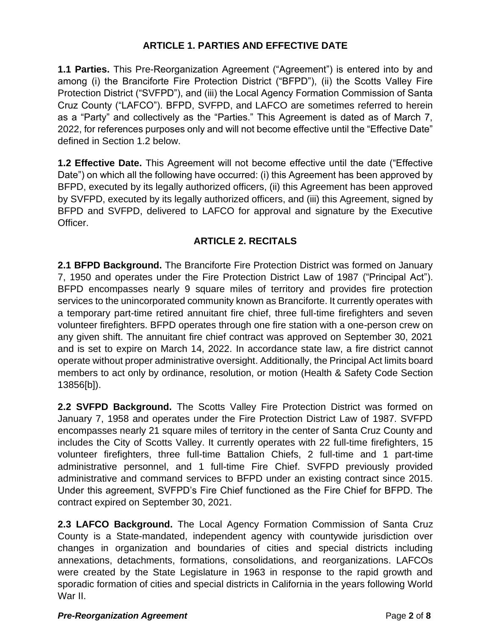## **ARTICLE 1. PARTIES AND EFFECTIVE DATE**

**1.1 Parties.** This Pre-Reorganization Agreement ("Agreement") is entered into by and among (i) the Branciforte Fire Protection District ("BFPD"), (ii) the Scotts Valley Fire Protection District ("SVFPD"), and (iii) the Local Agency Formation Commission of Santa Cruz County ("LAFCO"). BFPD, SVFPD, and LAFCO are sometimes referred to herein as a "Party" and collectively as the "Parties." This Agreement is dated as of March 7, 2022, for references purposes only and will not become effective until the "Effective Date" defined in Section 1.2 below.

**1.2 Effective Date.** This Agreement will not become effective until the date ("Effective Date") on which all the following have occurred: (i) this Agreement has been approved by BFPD, executed by its legally authorized officers, (ii) this Agreement has been approved by SVFPD, executed by its legally authorized officers, and (iii) this Agreement, signed by BFPD and SVFPD, delivered to LAFCO for approval and signature by the Executive Officer.

## **ARTICLE 2. RECITALS**

**2.1 BFPD Background.** The Branciforte Fire Protection District was formed on January 7, 1950 and operates under the Fire Protection District Law of 1987 ("Principal Act"). BFPD encompasses nearly 9 square miles of territory and provides fire protection services to the unincorporated community known as Branciforte. It currently operates with a temporary part-time retired annuitant fire chief, three full-time firefighters and seven volunteer firefighters. BFPD operates through one fire station with a one-person crew on any given shift. The annuitant fire chief contract was approved on September 30, 2021 and is set to expire on March 14, 2022. In accordance state law, a fire district cannot operate without proper administrative oversight. Additionally, the Principal Act limits board members to act only by ordinance, resolution, or motion (Health & Safety Code Section 13856[b]).

**2.2 SVFPD Background.** The Scotts Valley Fire Protection District was formed on January 7, 1958 and operates under the Fire Protection District Law of 1987. SVFPD encompasses nearly 21 square miles of territory in the center of Santa Cruz County and includes the City of Scotts Valley. It currently operates with 22 full-time firefighters, 15 volunteer firefighters, three full-time Battalion Chiefs, 2 full-time and 1 part-time administrative personnel, and 1 full-time Fire Chief. SVFPD previously provided administrative and command services to BFPD under an existing contract since 2015. Under this agreement, SVFPD's Fire Chief functioned as the Fire Chief for BFPD. The contract expired on September 30, 2021.

**2.3 LAFCO Background.** The Local Agency Formation Commission of Santa Cruz County is a State-mandated, independent agency with countywide jurisdiction over changes in organization and boundaries of cities and special districts including annexations, detachments, formations, consolidations, and reorganizations. LAFCOs were created by the State Legislature in 1963 in response to the rapid growth and sporadic formation of cities and special districts in California in the years following World War II.

#### *Pre-Reorganization Agreement* Page **2** of **8**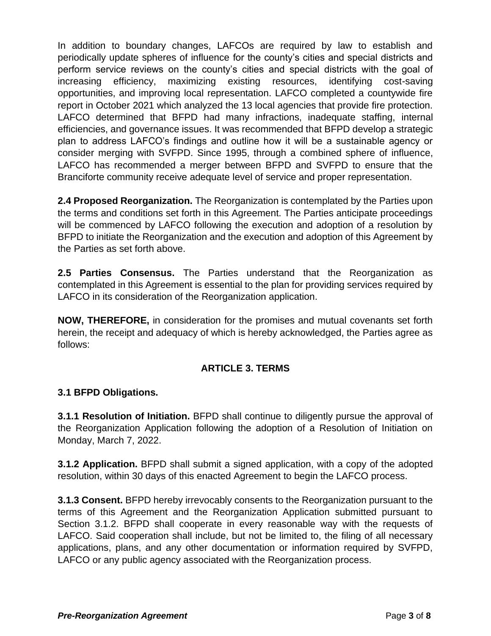In addition to boundary changes, LAFCOs are required by law to establish and periodically update spheres of influence for the county's cities and special districts and perform service reviews on the county's cities and special districts with the goal of increasing efficiency, maximizing existing resources, identifying cost-saving opportunities, and improving local representation. LAFCO completed a countywide fire report in October 2021 which analyzed the 13 local agencies that provide fire protection. LAFCO determined that BFPD had many infractions, inadequate staffing, internal efficiencies, and governance issues. It was recommended that BFPD develop a strategic plan to address LAFCO's findings and outline how it will be a sustainable agency or consider merging with SVFPD. Since 1995, through a combined sphere of influence, LAFCO has recommended a merger between BFPD and SVFPD to ensure that the Branciforte community receive adequate level of service and proper representation.

**2.4 Proposed Reorganization.** The Reorganization is contemplated by the Parties upon the terms and conditions set forth in this Agreement. The Parties anticipate proceedings will be commenced by LAFCO following the execution and adoption of a resolution by BFPD to initiate the Reorganization and the execution and adoption of this Agreement by the Parties as set forth above.

**2.5 Parties Consensus.** The Parties understand that the Reorganization as contemplated in this Agreement is essential to the plan for providing services required by LAFCO in its consideration of the Reorganization application.

**NOW, THEREFORE,** in consideration for the promises and mutual covenants set forth herein, the receipt and adequacy of which is hereby acknowledged, the Parties agree as follows:

## **ARTICLE 3. TERMS**

## **3.1 BFPD Obligations.**

**3.1.1 Resolution of Initiation.** BFPD shall continue to diligently pursue the approval of the Reorganization Application following the adoption of a Resolution of Initiation on Monday, March 7, 2022.

**3.1.2 Application.** BFPD shall submit a signed application, with a copy of the adopted resolution, within 30 days of this enacted Agreement to begin the LAFCO process.

**3.1.3 Consent.** BFPD hereby irrevocably consents to the Reorganization pursuant to the terms of this Agreement and the Reorganization Application submitted pursuant to Section 3.1.2. BFPD shall cooperate in every reasonable way with the requests of LAFCO. Said cooperation shall include, but not be limited to, the filing of all necessary applications, plans, and any other documentation or information required by SVFPD, LAFCO or any public agency associated with the Reorganization process.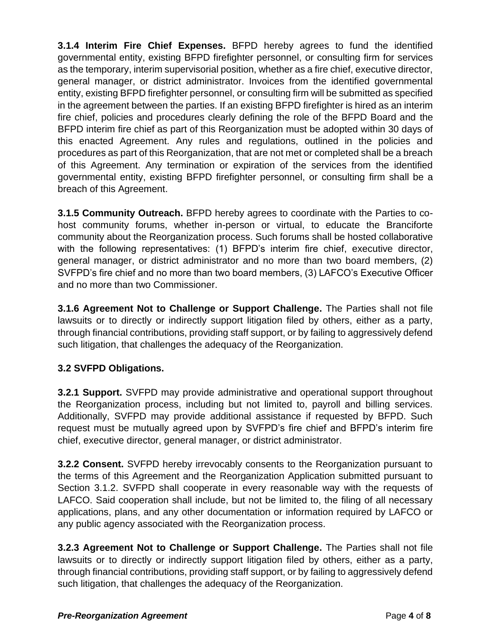**3.1.4 Interim Fire Chief Expenses.** BFPD hereby agrees to fund the identified governmental entity, existing BFPD firefighter personnel, or consulting firm for services as the temporary, interim supervisorial position, whether as a fire chief, executive director, general manager, or district administrator. Invoices from the identified governmental entity, existing BFPD firefighter personnel, or consulting firm will be submitted as specified in the agreement between the parties. If an existing BFPD firefighter is hired as an interim fire chief, policies and procedures clearly defining the role of the BFPD Board and the BFPD interim fire chief as part of this Reorganization must be adopted within 30 days of this enacted Agreement. Any rules and regulations, outlined in the policies and procedures as part of this Reorganization, that are not met or completed shall be a breach of this Agreement. Any termination or expiration of the services from the identified governmental entity, existing BFPD firefighter personnel, or consulting firm shall be a breach of this Agreement.

**3.1.5 Community Outreach.** BFPD hereby agrees to coordinate with the Parties to cohost community forums, whether in-person or virtual, to educate the Branciforte community about the Reorganization process. Such forums shall be hosted collaborative with the following representatives: (1) BFPD's interim fire chief, executive director, general manager, or district administrator and no more than two board members, (2) SVFPD's fire chief and no more than two board members, (3) LAFCO's Executive Officer and no more than two Commissioner.

**3.1.6 Agreement Not to Challenge or Support Challenge.** The Parties shall not file lawsuits or to directly or indirectly support litigation filed by others, either as a party, through financial contributions, providing staff support, or by failing to aggressively defend such litigation, that challenges the adequacy of the Reorganization.

## **3.2 SVFPD Obligations.**

**3.2.1 Support.** SVFPD may provide administrative and operational support throughout the Reorganization process, including but not limited to, payroll and billing services. Additionally, SVFPD may provide additional assistance if requested by BFPD. Such request must be mutually agreed upon by SVFPD's fire chief and BFPD's interim fire chief, executive director, general manager, or district administrator.

**3.2.2 Consent.** SVFPD hereby irrevocably consents to the Reorganization pursuant to the terms of this Agreement and the Reorganization Application submitted pursuant to Section 3.1.2. SVFPD shall cooperate in every reasonable way with the requests of LAFCO. Said cooperation shall include, but not be limited to, the filing of all necessary applications, plans, and any other documentation or information required by LAFCO or any public agency associated with the Reorganization process.

**3.2.3 Agreement Not to Challenge or Support Challenge.** The Parties shall not file lawsuits or to directly or indirectly support litigation filed by others, either as a party, through financial contributions, providing staff support, or by failing to aggressively defend such litigation, that challenges the adequacy of the Reorganization.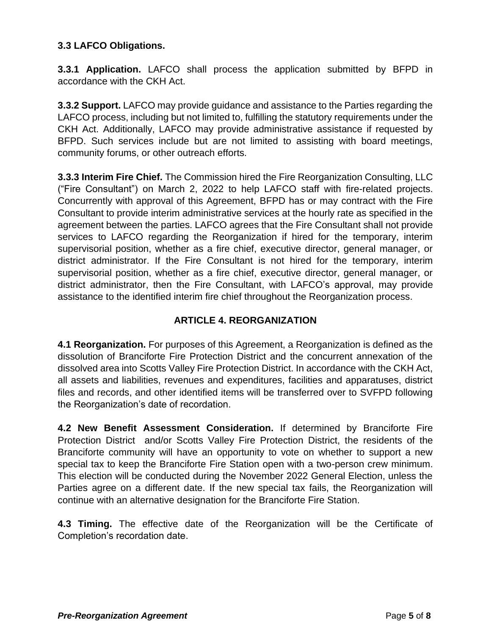## **3.3 LAFCO Obligations.**

**3.3.1 Application.** LAFCO shall process the application submitted by BFPD in accordance with the CKH Act.

**3.3.2 Support.** LAFCO may provide guidance and assistance to the Parties regarding the LAFCO process, including but not limited to, fulfilling the statutory requirements under the CKH Act. Additionally, LAFCO may provide administrative assistance if requested by BFPD. Such services include but are not limited to assisting with board meetings, community forums, or other outreach efforts.

**3.3.3 Interim Fire Chief.** The Commission hired the Fire Reorganization Consulting, LLC ("Fire Consultant") on March 2, 2022 to help LAFCO staff with fire-related projects. Concurrently with approval of this Agreement, BFPD has or may contract with the Fire Consultant to provide interim administrative services at the hourly rate as specified in the agreement between the parties. LAFCO agrees that the Fire Consultant shall not provide services to LAFCO regarding the Reorganization if hired for the temporary, interim supervisorial position, whether as a fire chief, executive director, general manager, or district administrator. If the Fire Consultant is not hired for the temporary, interim supervisorial position, whether as a fire chief, executive director, general manager, or district administrator, then the Fire Consultant, with LAFCO's approval, may provide assistance to the identified interim fire chief throughout the Reorganization process.

## **ARTICLE 4. REORGANIZATION**

**4.1 Reorganization.** For purposes of this Agreement, a Reorganization is defined as the dissolution of Branciforte Fire Protection District and the concurrent annexation of the dissolved area into Scotts Valley Fire Protection District. In accordance with the CKH Act, all assets and liabilities, revenues and expenditures, facilities and apparatuses, district files and records, and other identified items will be transferred over to SVFPD following the Reorganization's date of recordation.

**4.2 New Benefit Assessment Consideration.** If determined by Branciforte Fire Protection District and/or Scotts Valley Fire Protection District, the residents of the Branciforte community will have an opportunity to vote on whether to support a new special tax to keep the Branciforte Fire Station open with a two-person crew minimum. This election will be conducted during the November 2022 General Election, unless the Parties agree on a different date. If the new special tax fails, the Reorganization will continue with an alternative designation for the Branciforte Fire Station.

**4.3 Timing.** The effective date of the Reorganization will be the Certificate of Completion's recordation date.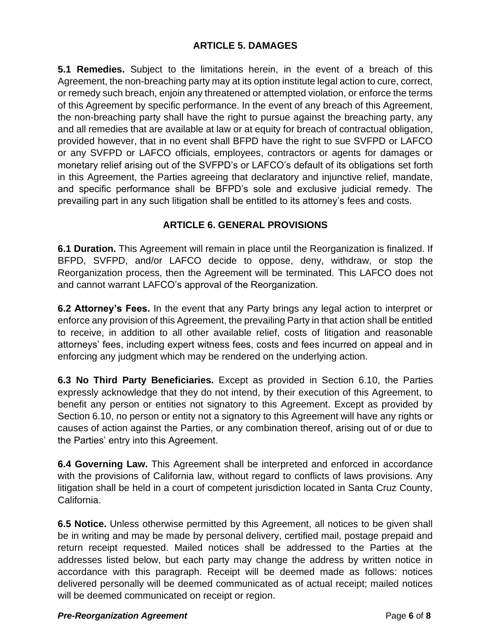**5.1 Remedies.** Subject to the limitations herein, in the event of a breach of this Agreement, the non-breaching party may at its option institute legal action to cure, correct, or remedy such breach, enjoin any threatened or attempted violation, or enforce the terms of this Agreement by specific performance. In the event of any breach of this Agreement, the non-breaching party shall have the right to pursue against the breaching party, any and all remedies that are available at law or at equity for breach of contractual obligation, provided however, that in no event shall BFPD have the right to sue SVFPD or LAFCO or any SVFPD or LAFCO officials, employees, contractors or agents for damages or monetary relief arising out of the SVFPD's or LAFCO's default of its obligations set forth in this Agreement, the Parties agreeing that declaratory and injunctive relief, mandate, and specific performance shall be BFPD's sole and exclusive judicial remedy. The prevailing part in any such litigation shall be entitled to its attorney's fees and costs.

## **ARTICLE 6. GENERAL PROVISIONS**

**6.1 Duration.** This Agreement will remain in place until the Reorganization is finalized. If BFPD, SVFPD, and/or LAFCO decide to oppose, deny, withdraw, or stop the Reorganization process, then the Agreement will be terminated. This LAFCO does not and cannot warrant LAFCO's approval of the Reorganization.

**6.2 Attorney's Fees.** In the event that any Party brings any legal action to interpret or enforce any provision of this Agreement, the prevailing Party in that action shall be entitled to receive, in addition to all other available relief, costs of litigation and reasonable attorneys' fees, including expert witness fees, costs and fees incurred on appeal and in enforcing any judgment which may be rendered on the underlying action.

**6.3 No Third Party Beneficiaries.** Except as provided in Section 6.10, the Parties expressly acknowledge that they do not intend, by their execution of this Agreement, to benefit any person or entities not signatory to this Agreement. Except as provided by Section 6.10, no person or entity not a signatory to this Agreement will have any rights or causes of action against the Parties, or any combination thereof, arising out of or due to the Parties' entry into this Agreement.

**6.4 Governing Law.** This Agreement shall be interpreted and enforced in accordance with the provisions of California law, without regard to conflicts of laws provisions. Any litigation shall be held in a court of competent jurisdiction located in Santa Cruz County, California.

**6.5 Notice.** Unless otherwise permitted by this Agreement, all notices to be given shall be in writing and may be made by personal delivery, certified mail, postage prepaid and return receipt requested. Mailed notices shall be addressed to the Parties at the addresses listed below, but each party may change the address by written notice in accordance with this paragraph. Receipt will be deemed made as follows: notices delivered personally will be deemed communicated as of actual receipt; mailed notices will be deemed communicated on receipt or region.

#### *Pre-Reorganization Agreement* Page **6** of **8**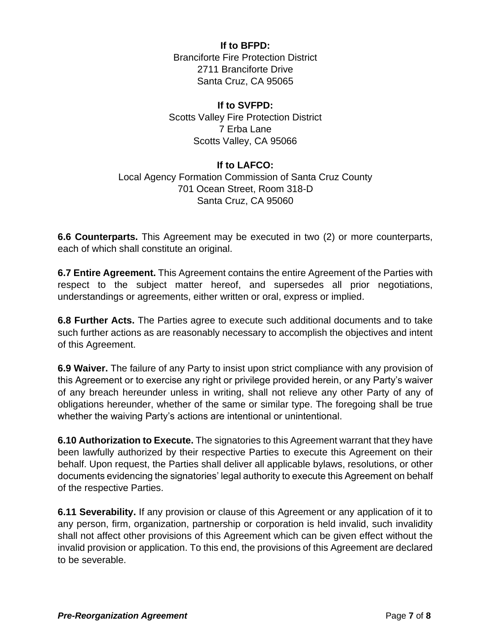**If to BFPD:** Branciforte Fire Protection District 2711 Branciforte Drive Santa Cruz, CA 95065

#### **If to SVFPD:**

Scotts Valley Fire Protection District 7 Erba Lane Scotts Valley, CA 95066

### **If to LAFCO:**

## Local Agency Formation Commission of Santa Cruz County 701 Ocean Street, Room 318-D Santa Cruz, CA 95060

**6.6 Counterparts.** This Agreement may be executed in two (2) or more counterparts, each of which shall constitute an original.

**6.7 Entire Agreement.** This Agreement contains the entire Agreement of the Parties with respect to the subject matter hereof, and supersedes all prior negotiations, understandings or agreements, either written or oral, express or implied.

**6.8 Further Acts.** The Parties agree to execute such additional documents and to take such further actions as are reasonably necessary to accomplish the objectives and intent of this Agreement.

**6.9 Waiver.** The failure of any Party to insist upon strict compliance with any provision of this Agreement or to exercise any right or privilege provided herein, or any Party's waiver of any breach hereunder unless in writing, shall not relieve any other Party of any of obligations hereunder, whether of the same or similar type. The foregoing shall be true whether the waiving Party's actions are intentional or unintentional.

**6.10 Authorization to Execute.** The signatories to this Agreement warrant that they have been lawfully authorized by their respective Parties to execute this Agreement on their behalf. Upon request, the Parties shall deliver all applicable bylaws, resolutions, or other documents evidencing the signatories' legal authority to execute this Agreement on behalf of the respective Parties.

**6.11 Severability.** If any provision or clause of this Agreement or any application of it to any person, firm, organization, partnership or corporation is held invalid, such invalidity shall not affect other provisions of this Agreement which can be given effect without the invalid provision or application. To this end, the provisions of this Agreement are declared to be severable.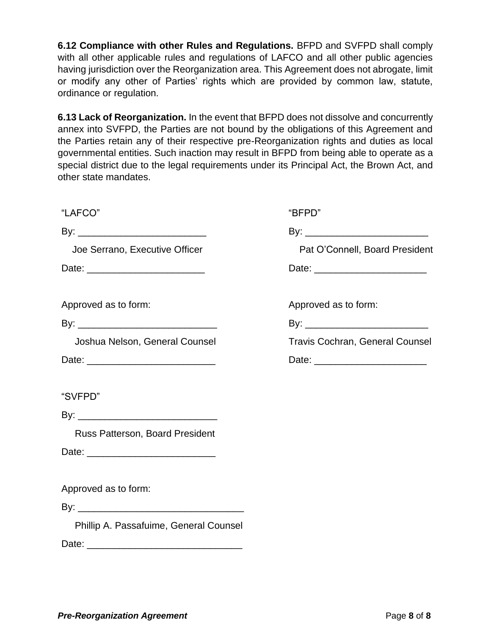**6.12 Compliance with other Rules and Regulations.** BFPD and SVFPD shall comply with all other applicable rules and regulations of LAFCO and all other public agencies having jurisdiction over the Reorganization area. This Agreement does not abrogate, limit or modify any other of Parties' rights which are provided by common law, statute, ordinance or regulation.

**6.13 Lack of Reorganization.** In the event that BFPD does not dissolve and concurrently annex into SVFPD, the Parties are not bound by the obligations of this Agreement and the Parties retain any of their respective pre-Reorganization rights and duties as local governmental entities. Such inaction may result in BFPD from being able to operate as a special district due to the legal requirements under its Principal Act, the Brown Act, and other state mandates.

| "LAFCO"                                | "BFPD"                                 |
|----------------------------------------|----------------------------------------|
|                                        |                                        |
| Joe Serrano, Executive Officer         | Pat O'Connell, Board President         |
|                                        |                                        |
| Approved as to form:                   | Approved as to form:                   |
|                                        |                                        |
| Joshua Nelson, General Counsel         | <b>Travis Cochran, General Counsel</b> |
|                                        |                                        |
| "SVFPD"                                |                                        |
|                                        |                                        |
| Russ Patterson, Board President        |                                        |
|                                        |                                        |
| Approved as to form:                   |                                        |
|                                        |                                        |
| Phillip A. Passafuime, General Counsel |                                        |
|                                        |                                        |